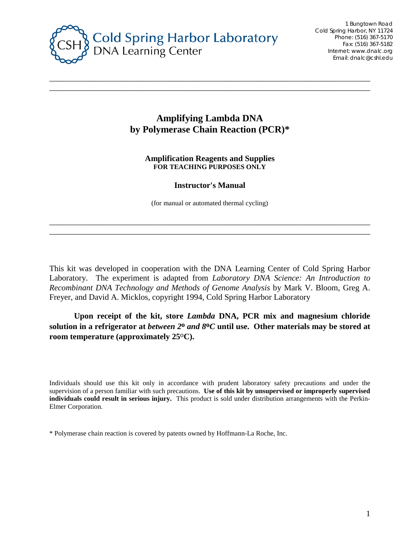

## **Amplifying Lambda DNA by Polymerase Chain Reaction (PCR)\***

\_\_\_\_\_\_\_\_\_\_\_\_\_\_\_\_\_\_\_\_\_\_\_\_\_\_\_\_\_\_\_\_\_\_\_\_\_\_\_\_\_\_\_\_\_\_\_\_\_\_\_\_\_\_\_\_\_\_\_\_\_\_\_\_\_\_\_\_\_\_\_\_\_\_\_\_\_\_ \_\_\_\_\_\_\_\_\_\_\_\_\_\_\_\_\_\_\_\_\_\_\_\_\_\_\_\_\_\_\_\_\_\_\_\_\_\_\_\_\_\_\_\_\_\_\_\_\_\_\_\_\_\_\_\_\_\_\_\_\_\_\_\_\_\_\_\_\_\_\_\_\_\_\_\_\_\_

> **Amplification Reagents and Supplies FOR TEACHING PURPOSES ONLY**

#### **Instructor's Manual**

(for manual or automated thermal cycling)

\_\_\_\_\_\_\_\_\_\_\_\_\_\_\_\_\_\_\_\_\_\_\_\_\_\_\_\_\_\_\_\_\_\_\_\_\_\_\_\_\_\_\_\_\_\_\_\_\_\_\_\_\_\_\_\_\_\_\_\_\_\_\_\_\_\_\_\_\_\_\_\_\_\_\_\_\_\_ \_\_\_\_\_\_\_\_\_\_\_\_\_\_\_\_\_\_\_\_\_\_\_\_\_\_\_\_\_\_\_\_\_\_\_\_\_\_\_\_\_\_\_\_\_\_\_\_\_\_\_\_\_\_\_\_\_\_\_\_\_\_\_\_\_\_\_\_\_\_\_\_\_\_\_\_\_\_

This kit was developed in cooperation with the DNA Learning Center of Cold Spring Harbor Laboratory. The experiment is adapted from *Laboratory DNA Science: An Introduction to Recombinant DNA Technology and Methods of Genome Analysis* by Mark V. Bloom, Greg A. Freyer, and David A. Micklos, copyright 1994, Cold Spring Harbor Laboratory

**Upon receipt of the kit, store** *Lambda* **DNA, PCR mix and magnesium chloride solution in a refrigerator at** *between 2***o** *and 8***o***C* **until use. Other materials may be stored at room temperature (approximately 25**o**C).**

Individuals should use this kit only in accordance with prudent laboratory safety precautions and under the supervision of a person familiar with such precautions. **Use of this kit by unsupervised or improperly supervised individuals could result in serious injury.** This product is sold under distribution arrangements with the Perkin-Elmer Corporation.

\* Polymerase chain reaction is covered by patents owned by Hoffmann-La Roche, Inc.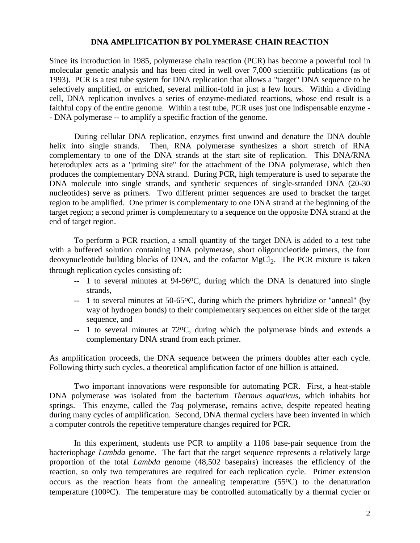#### **DNA AMPLIFICATION BY POLYMERASE CHAIN REACTION**

Since its introduction in 1985, polymerase chain reaction (PCR) has become a powerful tool in molecular genetic analysis and has been cited in well over 7,000 scientific publications (as of 1993). PCR is a test tube system for DNA replication that allows a "target" DNA sequence to be selectively amplified, or enriched, several million-fold in just a few hours. Within a dividing cell, DNA replication involves a series of enzyme-mediated reactions, whose end result is a faithful copy of the entire genome. Within a test tube, PCR uses just one indispensable enzyme - - DNA polymerase -- to amplify a specific fraction of the genome.

During cellular DNA replication, enzymes first unwind and denature the DNA double helix into single strands. Then, RNA polymerase synthesizes a short stretch of RNA complementary to one of the DNA strands at the start site of replication. This DNA/RNA heteroduplex acts as a "priming site" for the attachment of the DNA polymerase, which then produces the complementary DNA strand. During PCR, high temperature is used to separate the DNA molecule into single strands, and synthetic sequences of single-stranded DNA (20-30) nucleotides) serve as primers. Two different primer sequences are used to bracket the target region to be amplified. One primer is complementary to one DNA strand at the beginning of the target region; a second primer is complementary to a sequence on the opposite DNA strand at the end of target region.

To perform a PCR reaction, a small quantity of the target DNA is added to a test tube with a buffered solution containing DNA polymerase, short oligonucleotide primers, the four deoxynucleotide building blocks of DNA, and the cofactor MgCl<sub>2</sub>. The PCR mixture is taken through replication cycles consisting of:

- -- 1 to several minutes at 94-96 °C, during which the DNA is denatured into single strands,
- -- 1 to several minutes at 50-65oC, during which the primers hybridize or "anneal" (by way of hydrogen bonds) to their complementary sequences on either side of the target sequence, and
- -- 1 to several minutes at 72oC, during which the polymerase binds and extends a complementary DNA strand from each primer.

As amplification proceeds, the DNA sequence between the primers doubles after each cycle. Following thirty such cycles, a theoretical amplification factor of one billion is attained.

Two important innovations were responsible for automating PCR. First, a heat-stable DNA polymerase was isolated from the bacterium *Thermus aquaticus,* which inhabits hot springs. This enzyme, called the *Taq* polymerase, remains active, despite repeated heating during many cycles of amplification. Second, DNA thermal cyclers have been invented in which a computer controls the repetitive temperature changes required for PCR.

In this experiment, students use PCR to amplify a 1106 base-pair sequence from the bacteriophage *Lambda* genome. The fact that the target sequence represents a relatively large proportion of the total *Lambda* genome (48,502 basepairs) increases the efficiency of the reaction, so only two temperatures are required for each replication cycle. Primer extension occurs as the reaction heats from the annealing temperature  $(55\degree C)$  to the denaturation temperature (100<sup>o</sup>C). The temperature may be controlled automatically by a thermal cycler or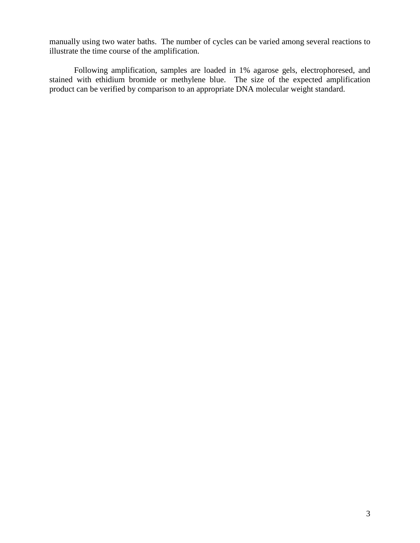manually using two water baths. The number of cycles can be varied among several reactions to illustrate the time course of the amplification.

Following amplification, samples are loaded in 1% agarose gels, electrophoresed, and stained with ethidium bromide or methylene blue. The size of the expected amplification product can be verified by comparison to an appropriate DNA molecular weight standard.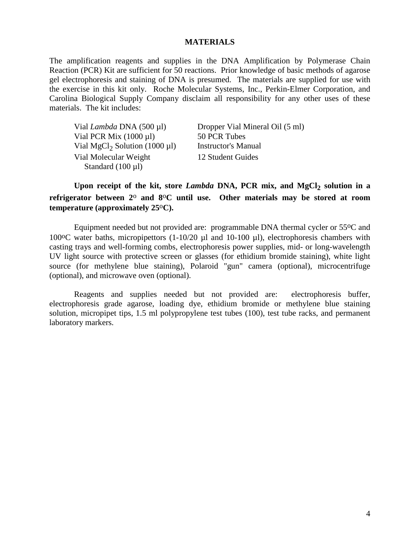#### **MATERIALS**

The amplification reagents and supplies in the DNA Amplification by Polymerase Chain Reaction (PCR) Kit are sufficient for 50 reactions. Prior knowledge of basic methods of agarose gel electrophoresis and staining of DNA is presumed. The materials are supplied for use with the exercise in this kit only. Roche Molecular Systems, Inc., Perkin-Elmer Corporation, and Carolina Biological Supply Company disclaim all responsibility for any other uses of these materials. The kit includes:

| Vial <i>Lambda</i> DNA (500 µl)                | Dropper Vial Mineral Oil (5 ml) |
|------------------------------------------------|---------------------------------|
| Vial PCR Mix $(1000 \mu l)$                    | 50 PCR Tubes                    |
| Vial MgCl <sub>2</sub> Solution (1000 $\mu$ l) | <b>Instructor's Manual</b>      |
| Vial Molecular Weight                          | 12 Student Guides               |
| Standard $(100 \mu l)$                         |                                 |

Upon receipt of the kit, store *Lambda* DNA, PCR mix, and MgCl<sub>2</sub> solution in a **refrigerator between 2**o **and 8**o**C until use. Other materials may be stored at room temperature (approximately 25**o**C).**

Equipment needed but not provided are: programmable DNA thermal cycler or 55oC and 100 $\degree$ C water baths, micropipettors (1-10/20  $\mu$ l and 10-100  $\mu$ l), electrophoresis chambers with casting trays and well-forming combs, electrophoresis power supplies, mid- or long-wavelength UV light source with protective screen or glasses (for ethidium bromide staining), white light source (for methylene blue staining), Polaroid "gun" camera (optional), microcentrifuge (optional), and microwave oven (optional).

 Reagents and supplies needed but not provided are: electrophoresis buffer, electrophoresis grade agarose, loading dye, ethidium bromide or methylene blue staining solution, micropipet tips, 1.5 ml polypropylene test tubes (100), test tube racks, and permanent laboratory markers.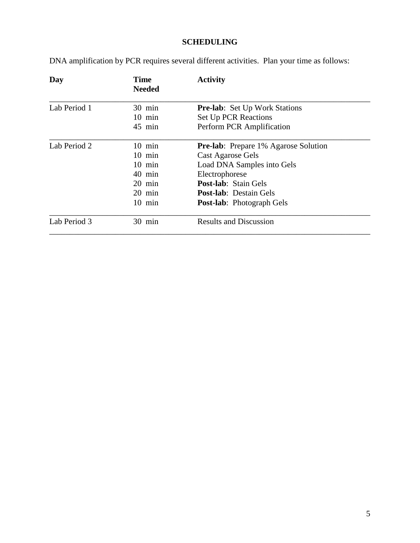# **SCHEDULING**

DNA amplification by PCR requires several different activities. Plan your time as follows:

| Day          | <b>Time</b><br><b>Needed</b> | <b>Activity</b>                              |
|--------------|------------------------------|----------------------------------------------|
| Lab Period 1 | $30 \text{ min}$             | <b>Pre-lab:</b> Set Up Work Stations         |
|              | $10$ min                     | <b>Set Up PCR Reactions</b>                  |
|              | 45 min                       | Perform PCR Amplification                    |
| Lab Period 2 | $10 \text{ min}$             | <b>Pre-lab</b> : Prepare 1% Agarose Solution |
|              | $10 \text{ min}$             | Cast Agarose Gels                            |
|              | $10$ min                     | Load DNA Samples into Gels                   |
|              | 40 min                       | Electrophorese                               |
|              | $20 \text{ min}$             | <b>Post-lab:</b> Stain Gels                  |
|              | $20 \text{ min}$             | <b>Post-lab</b> : Destain Gels               |
|              | $10 \text{ min}$             | <b>Post-lab:</b> Photograph Gels             |
| Lab Period 3 | $30 \text{ min}$             | <b>Results and Discussion</b>                |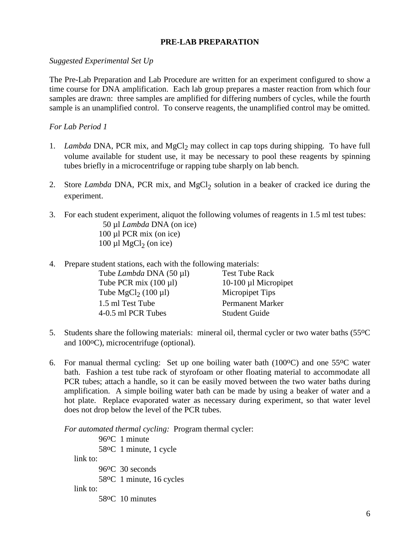## **PRE-LAB PREPARATION**

#### *Suggested Experimental Set Up*

The Pre-Lab Preparation and Lab Procedure are written for an experiment configured to show a time course for DNA amplification. Each lab group prepares a master reaction from which four samples are drawn: three samples are amplified for differing numbers of cycles, while the fourth sample is an unamplified control. To conserve reagents, the unamplified control may be omitted.

#### *For Lab Period 1*

- 1. *Lambda* DNA, PCR mix, and MgCl<sub>2</sub> may collect in cap tops during shipping. To have full volume available for student use, it may be necessary to pool these reagents by spinning tubes briefly in a microcentrifuge or rapping tube sharply on lab bench.
- 2. Store *Lambda* DNA, PCR mix, and MgCl<sub>2</sub> solution in a beaker of cracked ice during the experiment.
- 3. For each student experiment, aliquot the following volumes of reagents in 1.5 ml test tubes: 50 µl *Lambda* DNA (on ice) 100 µl PCR mix (on ice)  $100 \mu$ l MgCl<sub>2</sub> (on ice)
- 4. Prepare student stations, each with the following materials:

| <b>Test Tube Rack</b>   |
|-------------------------|
| 10-100 µl Micropipet    |
| Micropipet Tips         |
| <b>Permanent Marker</b> |
| <b>Student Guide</b>    |
|                         |

- 5. Students share the following materials: mineral oil, thermal cycler or two water baths (55oC and 100<sup>o</sup>C), microcentrifuge (optional).
- 6. For manual thermal cycling: Set up one boiling water bath  $(100\degree C)$  and one 55 $\degree C$  water bath. Fashion a test tube rack of styrofoam or other floating material to accommodate all PCR tubes; attach a handle, so it can be easily moved between the two water baths during amplification. A simple boiling water bath can be made by using a beaker of water and a hot plate. Replace evaporated water as necessary during experiment, so that water level does not drop below the level of the PCR tubes.

*For automated thermal cycling:* Program thermal cycler:

96oC 1 minute 58oC 1 minute, 1 cycle link to: 96oC 30 seconds 58oC 1 minute, 16 cycles link to: 58oC 10 minutes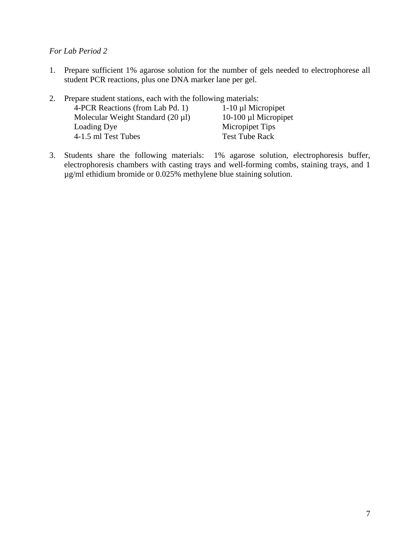## *For Lab Period 2*

1. Prepare sufficient 1% agarose solution for the number of gels needed to electrophorese all student PCR reactions, plus one DNA marker lane per gel.

| 2. Prepare student stations, each with the following materials: |                        |
|-----------------------------------------------------------------|------------------------|
| 4-PCR Reactions (from Lab Pd. 1)                                | $1-10$ µl Micropipet   |
| Molecular Weight Standard $(20 \mu l)$                          | $10-100$ µl Micropipet |
| Loading Dye                                                     | Micropipet Tips        |
| 4-1.5 ml Test Tubes                                             | <b>Test Tube Rack</b>  |
|                                                                 |                        |

3. Students share the following materials: 1% agarose solution, electrophoresis buffer, electrophoresis chambers with casting trays and well-forming combs, staining trays, and 1 µg/ml ethidium bromide or 0.025% methylene blue staining solution.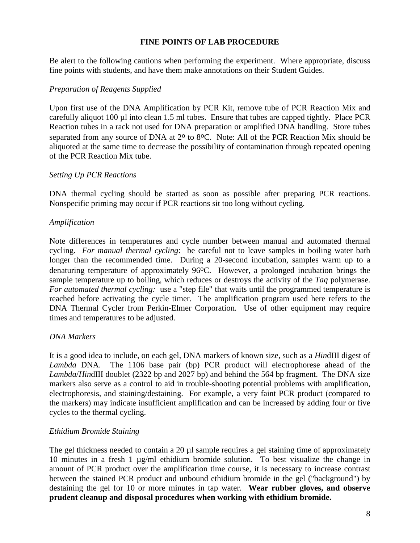## **FINE POINTS OF LAB PROCEDURE**

Be alert to the following cautions when performing the experiment. Where appropriate, discuss fine points with students, and have them make annotations on their Student Guides.

## *Preparation of Reagents Supplied*

Upon first use of the DNA Amplification by PCR Kit, remove tube of PCR Reaction Mix and carefully aliquot 100 µl into clean 1.5 ml tubes. Ensure that tubes are capped tightly. Place PCR Reaction tubes in a rack not used for DNA preparation or amplified DNA handling. Store tubes separated from any source of DNA at  $2^{\circ}$  to 8 $^{\circ}$ C. Note: All of the PCR Reaction Mix should be aliquoted at the same time to decrease the possibility of contamination through repeated opening of the PCR Reaction Mix tube.

#### *Setting Up PCR Reactions*

DNA thermal cycling should be started as soon as possible after preparing PCR reactions. Nonspecific priming may occur if PCR reactions sit too long without cycling.

## *Amplification*

Note differences in temperatures and cycle number between manual and automated thermal cycling. *For manual thermal cycling*: be careful not to leave samples in boiling water bath longer than the recommended time. During a 20-second incubation, samples warm up to a denaturing temperature of approximately 96<sup>o</sup>C. However, a prolonged incubation brings the sample temperature up to boiling, which reduces or destroys the activity of the *Taq* polymerase. *For automated thermal cycling:* use a "step file" that waits until the programmed temperature is reached before activating the cycle timer. The amplification program used here refers to the DNA Thermal Cycler from Perkin-Elmer Corporation. Use of other equipment may require times and temperatures to be adjusted.

#### *DNA Markers*

It is a good idea to include, on each gel, DNA markers of known size, such as a *Hin*dIII digest of *Lambda* DNA. The 1106 base pair (bp) PCR product will electrophorese ahead of the *Lambda*/*Hin*dIII doublet (2322 bp and 2027 bp) and behind the 564 bp fragment. The DNA size markers also serve as a control to aid in trouble-shooting potential problems with amplification, electrophoresis, and staining/destaining. For example, a very faint PCR product (compared to the markers) may indicate insufficient amplification and can be increased by adding four or five cycles to the thermal cycling.

#### *Ethidium Bromide Staining*

The gel thickness needed to contain a 20 µl sample requires a gel staining time of approximately 10 minutes in a fresh 1 µg/ml ethidium bromide solution. To best visualize the change in amount of PCR product over the amplification time course, it is necessary to increase contrast between the stained PCR product and unbound ethidium bromide in the gel ("background") by destaining the gel for 10 or more minutes in tap water. **Wear rubber gloves, and observe prudent cleanup and disposal procedures when working with ethidium bromide.**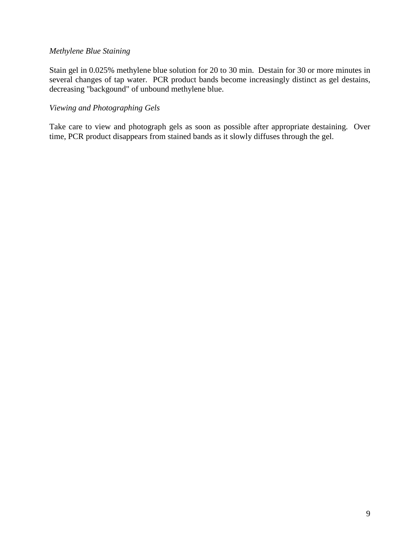## *Methylene Blue Staining*

Stain gel in 0.025% methylene blue solution for 20 to 30 min. Destain for 30 or more minutes in several changes of tap water. PCR product bands become increasingly distinct as gel destains, decreasing "backgound" of unbound methylene blue.

## *Viewing and Photographing Gels*

Take care to view and photograph gels as soon as possible after appropriate destaining. Over time, PCR product disappears from stained bands as it slowly diffuses through the gel.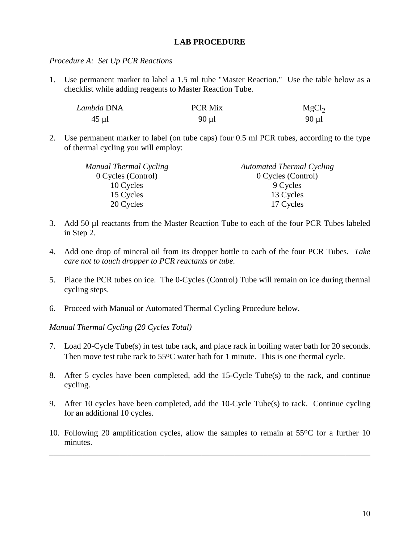#### **LAB PROCEDURE**

*Procedure A: Set Up PCR Reactions*

1. Use permanent marker to label a 1.5 ml tube "Master Reaction." Use the table below as a checklist while adding reagents to Master Reaction Tube.

| Lambda DNA | <b>PCR Mix</b> | MgCl <sub>2</sub> |
|------------|----------------|-------------------|
| $45 \mu$ l | $90 \mu l$     | $90 \mu l$        |

2. Use permanent marker to label (on tube caps) four 0.5 ml PCR tubes, according to the type of thermal cycling you will employ:

| <b>Automated Thermal Cycling</b> |  |
|----------------------------------|--|
| 0 Cycles (Control)               |  |
| 9 Cycles                         |  |
| 13 Cycles                        |  |
| 17 Cycles                        |  |
|                                  |  |

- 3. Add 50 µl reactants from the Master Reaction Tube to each of the four PCR Tubes labeled in Step 2.
- 4. Add one drop of mineral oil from its dropper bottle to each of the four PCR Tubes. *Take care not to touch dropper to PCR reactants or tube.*
- 5. Place the PCR tubes on ice. The 0-Cycles (Control) Tube will remain on ice during thermal cycling steps.
- 6. Proceed with Manual or Automated Thermal Cycling Procedure below.

*Manual Thermal Cycling (20 Cycles Total)*

- 7. Load 20-Cycle Tube(s) in test tube rack, and place rack in boiling water bath for 20 seconds. Then move test tube rack to 55<sup>o</sup>C water bath for 1 minute. This is one thermal cycle.
- 8. After 5 cycles have been completed, add the 15-Cycle Tube(s) to the rack, and continue cycling.
- 9. After 10 cycles have been completed, add the 10-Cycle Tube(s) to rack. Continue cycling for an additional 10 cycles.
- 10. Following 20 amplification cycles, allow the samples to remain at 55oC for a further 10 minutes.

\_\_\_\_\_\_\_\_\_\_\_\_\_\_\_\_\_\_\_\_\_\_\_\_\_\_\_\_\_\_\_\_\_\_\_\_\_\_\_\_\_\_\_\_\_\_\_\_\_\_\_\_\_\_\_\_\_\_\_\_\_\_\_\_\_\_\_\_\_\_\_\_\_\_\_\_\_\_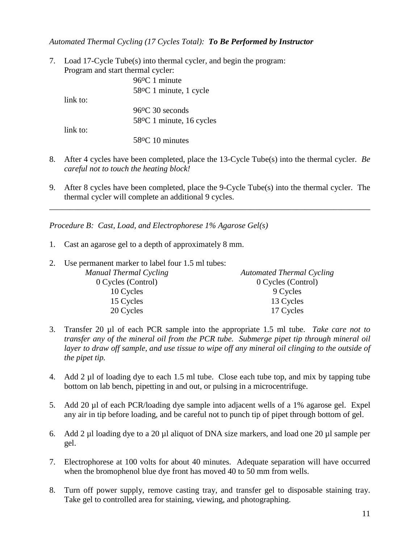## *Automated Thermal Cycling (17 Cycles Total): To Be Performed by Instructor*

7. Load 17-Cycle Tube(s) into thermal cycler, and begin the program: Program and start thermal cycler:

|            | 96 °C 1 minute                 |
|------------|--------------------------------|
|            | 58 °C 1 minute, 1 cycle        |
| link to:   |                                |
|            | $96$ <sup>o</sup> C 30 seconds |
|            | 58 °C 1 minute, 16 cycles      |
| $link$ to: |                                |
|            | $58\textdegree$ C 10 minutes   |

- 8. After 4 cycles have been completed, place the 13-Cycle Tube(s) into the thermal cycler. *Be careful not to touch the heating block!*
- 9. After 8 cycles have been completed, place the 9-Cycle Tube(s) into the thermal cycler. The thermal cycler will complete an additional 9 cycles.

\_\_\_\_\_\_\_\_\_\_\_\_\_\_\_\_\_\_\_\_\_\_\_\_\_\_\_\_\_\_\_\_\_\_\_\_\_\_\_\_\_\_\_\_\_\_\_\_\_\_\_\_\_\_\_\_\_\_\_\_\_\_\_\_\_\_\_\_\_\_\_\_\_\_\_\_\_\_

*Procedure B: Cast, Load, and Electrophorese 1% Agarose Gel(s)*

- 1. Cast an agarose gel to a depth of approximately 8 mm.
- 2. Use permanent marker to label four 1.5 ml tubes:

| Manual Thermal Cycling | <b>Automated Thermal Cycling</b> |
|------------------------|----------------------------------|
| 0 Cycles (Control)     | 0 Cycles (Control)               |
| 10 Cycles              | 9 Cycles                         |
| 15 Cycles              | 13 Cycles                        |
| 20 Cycles              | 17 Cycles                        |

- 3. Transfer 20 µl of each PCR sample into the appropriate 1.5 ml tube. *Take care not to transfer any of the mineral oil from the PCR tube. Submerge pipet tip through mineral oil*  layer to draw off sample, and use tissue to wipe off any mineral oil clinging to the outside of *the pipet tip.*
- 4. Add 2 µl of loading dye to each 1.5 ml tube. Close each tube top, and mix by tapping tube bottom on lab bench, pipetting in and out, or pulsing in a microcentrifuge.
- 5. Add 20 µl of each PCR/loading dye sample into adjacent wells of a 1% agarose gel. Expel any air in tip before loading, and be careful not to punch tip of pipet through bottom of gel.
- 6. Add 2 µl loading dye to a 20 µl aliquot of DNA size markers, and load one 20 µl sample per gel.
- 7. Electrophorese at 100 volts for about 40 minutes. Adequate separation will have occurred when the bromophenol blue dye front has moved 40 to 50 mm from wells.
- 8. Turn off power supply, remove casting tray, and transfer gel to disposable staining tray. Take gel to controlled area for staining, viewing, and photographing.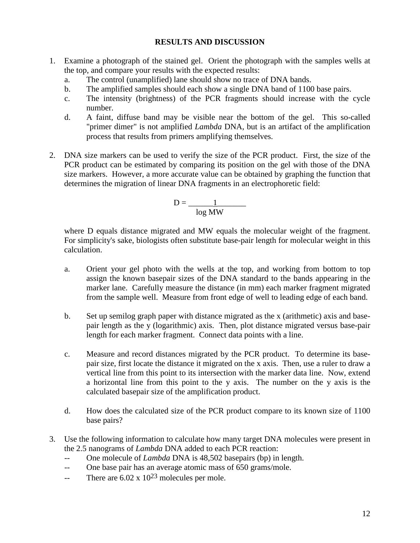## **RESULTS AND DISCUSSION**

- 1. Examine a photograph of the stained gel. Orient the photograph with the samples wells at the top, and compare your results with the expected results:
	- a. The control (unamplified) lane should show no trace of DNA bands.
	- b. The amplified samples should each show a single DNA band of 1100 base pairs.
	- c. The intensity (brightness) of the PCR fragments should increase with the cycle number.
	- d. A faint, diffuse band may be visible near the bottom of the gel. This so-called "primer dimer" is not amplified *Lambda* DNA, but is an artifact of the amplification process that results from primers amplifying themselves.
- 2. DNA size markers can be used to verify the size of the PCR product. First, the size of the PCR product can be estimated by comparing its position on the gel with those of the DNA size markers. However, a more accurate value can be obtained by graphing the function that determines the migration of linear DNA fragments in an electrophoretic field:

$$
D = \frac{1}{\log MW}
$$

where D equals distance migrated and MW equals the molecular weight of the fragment. For simplicity's sake, biologists often substitute base-pair length for molecular weight in this calculation.

- a. Orient your gel photo with the wells at the top, and working from bottom to top assign the known basepair sizes of the DNA standard to the bands appearing in the marker lane. Carefully measure the distance (in mm) each marker fragment migrated from the sample well. Measure from front edge of well to leading edge of each band.
- b. Set up semilog graph paper with distance migrated as the x (arithmetic) axis and basepair length as the y (logarithmic) axis. Then, plot distance migrated versus base-pair length for each marker fragment. Connect data points with a line.
- c. Measure and record distances migrated by the PCR product. To determine its basepair size, first locate the distance it migrated on the x axis. Then, use a ruler to draw a vertical line from this point to its intersection with the marker data line. Now, extend a horizontal line from this point to the y axis. The number on the y axis is the calculated basepair size of the amplification product.
- d. How does the calculated size of the PCR product compare to its known size of 1100 base pairs?
- 3. Use the following information to calculate how many target DNA molecules were present in the 2.5 nanograms of *Lambda* DNA added to each PCR reaction:
	- -- One molecule of *Lambda* DNA is 48,502 basepairs (bp) in length.
	- -- One base pair has an average atomic mass of 650 grams/mole.
	- -- There are  $6.02 \times 10^{23}$  molecules per mole.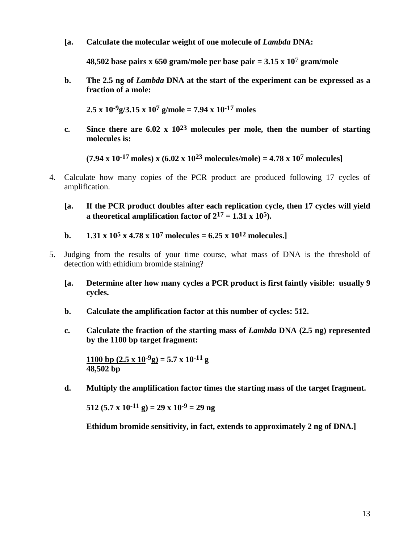**[a. Calculate the molecular weight of one molecule of** *Lambda* **DNA:** 

**48,502 base pairs x 650 gram/mole per base pair = 3.15 x 10**7 **gram/mole**

**b. The 2.5 ng of** *Lambda* **DNA at the start of the experiment can be expressed as a fraction of a mole:**

**2.5 x 10-9g/3.15 x 107 g/mole = 7.94 x 10-17 moles**

**c. Since there are 6.02 x 1023 molecules per mole, then the number of starting molecules is:**

 $(7.94 \times 10^{-17} \text{ moles}) \times (6.02 \times 10^{23} \text{ molecules/mole}) = 4.78 \times 10^{7} \text{ molecules}$ 

- 4. Calculate how many copies of the PCR product are produced following 17 cycles of amplification.
	- **[a. If the PCR product doubles after each replication cycle, then 17 cycles will yield a** theoretical amplification factor of  $2^{17} = 1.31 \times 10^5$ ).
	- **b. 1.31 x**  $10^5$  **x**  $4.78$  **x**  $10^7$  **molecules** =  $6.25$  **x**  $10^{12}$  **molecules.**]
- 5. Judging from the results of your time course, what mass of DNA is the threshold of detection with ethidium bromide staining?
	- **[a. Determine after how many cycles a PCR product is first faintly visible: usually 9 cycles.**
	- **b. Calculate the amplification factor at this number of cycles: 512.**
	- **c. Calculate the fraction of the starting mass of** *Lambda* **DNA (2.5 ng) represented by the 1100 bp target fragment:**

**1100 bp**  $(2.5 \times 10^{-9} \text{g}) = 5.7 \times 10^{-11} \text{g}$ **48,502 bp**

**d. Multiply the amplification factor times the starting mass of the target fragment.**

512 (5.7 x 10<sup>-11</sup> g) = 29 x 10<sup>-9</sup> = 29 ng

**Ethidum bromide sensitivity, in fact, extends to approximately 2 ng of DNA.]**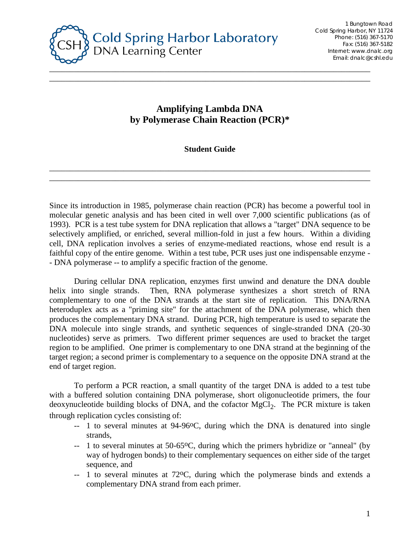

# **Amplifying Lambda DNA by Polymerase Chain Reaction (PCR)\***

\_\_\_\_\_\_\_\_\_\_\_\_\_\_\_\_\_\_\_\_\_\_\_\_\_\_\_\_\_\_\_\_\_\_\_\_\_\_\_\_\_\_\_\_\_\_\_\_\_\_\_\_\_\_\_\_\_\_\_\_\_\_\_\_\_\_\_\_\_\_\_\_\_\_\_\_\_\_

## **Student Guide**

\_\_\_\_\_\_\_\_\_\_\_\_\_\_\_\_\_\_\_\_\_\_\_\_\_\_\_\_\_\_\_\_\_\_\_\_\_\_\_\_\_\_\_\_\_\_\_\_\_\_\_\_\_\_\_\_\_\_\_\_\_\_\_\_\_\_\_\_\_\_\_\_\_\_\_\_\_\_ \_\_\_\_\_\_\_\_\_\_\_\_\_\_\_\_\_\_\_\_\_\_\_\_\_\_\_\_\_\_\_\_\_\_\_\_\_\_\_\_\_\_\_\_\_\_\_\_\_\_\_\_\_\_\_\_\_\_\_\_\_\_\_\_\_\_\_\_\_\_\_\_\_\_\_\_\_\_

Since its introduction in 1985, polymerase chain reaction (PCR) has become a powerful tool in molecular genetic analysis and has been cited in well over 7,000 scientific publications (as of 1993). PCR is a test tube system for DNA replication that allows a "target" DNA sequence to be selectively amplified, or enriched, several million-fold in just a few hours. Within a dividing cell, DNA replication involves a series of enzyme-mediated reactions, whose end result is a faithful copy of the entire genome. Within a test tube, PCR uses just one indispensable enzyme - - DNA polymerase -- to amplify a specific fraction of the genome.

During cellular DNA replication, enzymes first unwind and denature the DNA double helix into single strands. Then, RNA polymerase synthesizes a short stretch of RNA complementary to one of the DNA strands at the start site of replication. This DNA/RNA heteroduplex acts as a "priming site" for the attachment of the DNA polymerase, which then produces the complementary DNA strand. During PCR, high temperature is used to separate the DNA molecule into single strands, and synthetic sequences of single-stranded DNA (20-30 nucleotides) serve as primers. Two different primer sequences are used to bracket the target region to be amplified. One primer is complementary to one DNA strand at the beginning of the target region; a second primer is complementary to a sequence on the opposite DNA strand at the end of target region.

To perform a PCR reaction, a small quantity of the target DNA is added to a test tube with a buffered solution containing DNA polymerase, short oligonucleotide primers, the four deoxynucleotide building blocks of DNA, and the cofactor MgCl<sub>2</sub>. The PCR mixture is taken through replication cycles consisting of:

- -- 1 to several minutes at 94-96°C, during which the DNA is denatured into single strands,
- -- 1 to several minutes at 50-65<sup>o</sup>C, during which the primers hybridize or "anneal" (by way of hydrogen bonds) to their complementary sequences on either side of the target sequence, and
- -- 1 to several minutes at 72oC, during which the polymerase binds and extends a complementary DNA strand from each primer.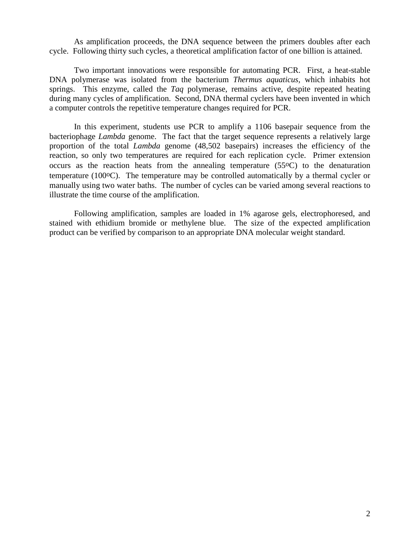As amplification proceeds, the DNA sequence between the primers doubles after each cycle. Following thirty such cycles, a theoretical amplification factor of one billion is attained.

Two important innovations were responsible for automating PCR. First, a heat-stable DNA polymerase was isolated from the bacterium *Thermus aquaticus,* which inhabits hot springs. This enzyme, called the *Taq* polymerase, remains active, despite repeated heating during many cycles of amplification. Second, DNA thermal cyclers have been invented in which a computer controls the repetitive temperature changes required for PCR.

In this experiment, students use PCR to amplify a 1106 basepair sequence from the bacteriophage *Lambda* genome. The fact that the target sequence represents a relatively large proportion of the total *Lambda* genome (48,502 basepairs) increases the efficiency of the reaction, so only two temperatures are required for each replication cycle. Primer extension occurs as the reaction heats from the annealing temperature  $(55\degree C)$  to the denaturation temperature (100<sup>o</sup>C). The temperature may be controlled automatically by a thermal cycler or manually using two water baths. The number of cycles can be varied among several reactions to illustrate the time course of the amplification.

Following amplification, samples are loaded in 1% agarose gels, electrophoresed, and stained with ethidium bromide or methylene blue. The size of the expected amplification product can be verified by comparison to an appropriate DNA molecular weight standard.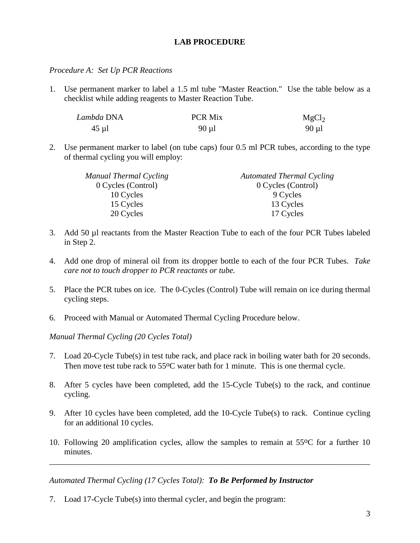## **LAB PROCEDURE**

### *Procedure A: Set Up PCR Reactions*

1. Use permanent marker to label a 1.5 ml tube "Master Reaction." Use the table below as a checklist while adding reagents to Master Reaction Tube.

| Lambda DNA | <b>PCR Mix</b> | MgCl <sub>2</sub> |
|------------|----------------|-------------------|
| $45 \mu$ l | $90 \mu l$     | $90 \mu l$        |

2. Use permanent marker to label (on tube caps) four 0.5 ml PCR tubes, according to the type of thermal cycling you will employ:

| Manual Thermal Cycling | <b>Automated Thermal Cycling</b> |  |
|------------------------|----------------------------------|--|
| 0 Cycles (Control)     | 0 Cycles (Control)               |  |
| 10 Cycles              | 9 Cycles                         |  |
| 15 Cycles              | 13 Cycles                        |  |
| 20 Cycles              | 17 Cycles                        |  |

- 3. Add 50 µl reactants from the Master Reaction Tube to each of the four PCR Tubes labeled in Step 2.
- 4. Add one drop of mineral oil from its dropper bottle to each of the four PCR Tubes. *Take care not to touch dropper to PCR reactants or tube.*
- 5. Place the PCR tubes on ice. The 0-Cycles (Control) Tube will remain on ice during thermal cycling steps.
- 6. Proceed with Manual or Automated Thermal Cycling Procedure below.

*Manual Thermal Cycling (20 Cycles Total)*

- 7. Load 20-Cycle Tube(s) in test tube rack, and place rack in boiling water bath for 20 seconds. Then move test tube rack to  $55^{\circ}$ C water bath for 1 minute. This is one thermal cycle.
- 8. After 5 cycles have been completed, add the 15-Cycle Tube(s) to the rack, and continue cycling.
- 9. After 10 cycles have been completed, add the 10-Cycle Tube(s) to rack. Continue cycling for an additional 10 cycles.
- 10. Following 20 amplification cycles, allow the samples to remain at 55oC for a further 10 minutes.

\_\_\_\_\_\_\_\_\_\_\_\_\_\_\_\_\_\_\_\_\_\_\_\_\_\_\_\_\_\_\_\_\_\_\_\_\_\_\_\_\_\_\_\_\_\_\_\_\_\_\_\_\_\_\_\_\_\_\_\_\_\_\_\_\_\_\_\_\_\_\_\_\_\_\_\_\_\_

*Automated Thermal Cycling (17 Cycles Total): To Be Performed by Instructor*

7. Load 17-Cycle Tube(s) into thermal cycler, and begin the program: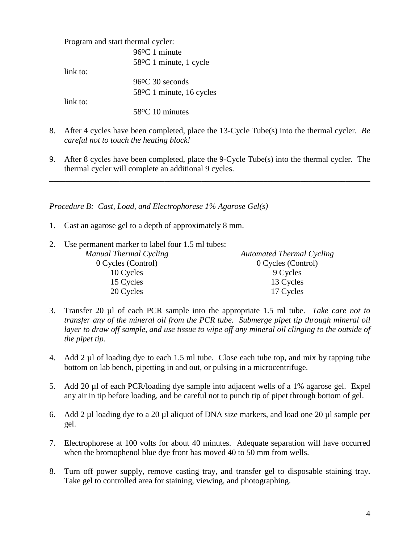Program and start thermal cycler: 96oC 1 minute 58oC 1 minute, 1 cycle link to: 96oC 30 seconds 58oC 1 minute, 16 cycles link to: 58oC 10 minutes

- 8. After 4 cycles have been completed, place the 13-Cycle Tube(s) into the thermal cycler. *Be careful not to touch the heating block!*
- 9. After 8 cycles have been completed, place the 9-Cycle Tube(s) into the thermal cycler. The thermal cycler will complete an additional 9 cycles.

\_\_\_\_\_\_\_\_\_\_\_\_\_\_\_\_\_\_\_\_\_\_\_\_\_\_\_\_\_\_\_\_\_\_\_\_\_\_\_\_\_\_\_\_\_\_\_\_\_\_\_\_\_\_\_\_\_\_\_\_\_\_\_\_\_\_\_\_\_\_\_\_\_\_\_\_\_\_

*Procedure B: Cast, Load, and Electrophorese 1% Agarose Gel(s)*

- 1. Cast an agarose gel to a depth of approximately 8 mm.
- 2. Use permanent marker to label four 1.5 ml tubes:

| Manual Thermal Cycling | <b>Automated Thermal Cycling</b> |
|------------------------|----------------------------------|
| 0 Cycles (Control)     | 0 Cycles (Control)               |
| 10 Cycles              | 9 Cycles                         |
| 15 Cycles              | 13 Cycles                        |
| 20 Cycles              | 17 Cycles                        |

- 3. Transfer 20 µl of each PCR sample into the appropriate 1.5 ml tube. *Take care not to transfer any of the mineral oil from the PCR tube. Submerge pipet tip through mineral oil*  layer to draw off sample, and use tissue to wipe off any mineral oil clinging to the outside of *the pipet tip.*
- 4. Add 2 µl of loading dye to each 1.5 ml tube. Close each tube top, and mix by tapping tube bottom on lab bench, pipetting in and out, or pulsing in a microcentrifuge.
- 5. Add 20 µl of each PCR/loading dye sample into adjacent wells of a 1% agarose gel. Expel any air in tip before loading, and be careful not to punch tip of pipet through bottom of gel.
- 6. Add 2 µl loading dye to a 20 µl aliquot of DNA size markers, and load one 20 µl sample per gel.
- 7. Electrophorese at 100 volts for about 40 minutes. Adequate separation will have occurred when the bromophenol blue dye front has moved 40 to 50 mm from wells.
- 8. Turn off power supply, remove casting tray, and transfer gel to disposable staining tray. Take gel to controlled area for staining, viewing, and photographing.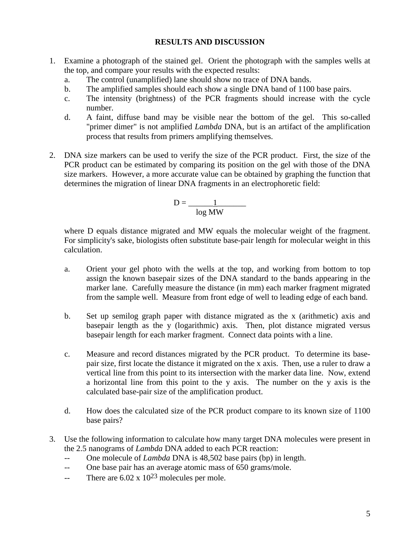## **RESULTS AND DISCUSSION**

- 1. Examine a photograph of the stained gel. Orient the photograph with the samples wells at the top, and compare your results with the expected results:
	- a. The control (unamplified) lane should show no trace of DNA bands.
	- b. The amplified samples should each show a single DNA band of 1100 base pairs.
	- c. The intensity (brightness) of the PCR fragments should increase with the cycle number.
	- d. A faint, diffuse band may be visible near the bottom of the gel. This so-called "primer dimer" is not amplified *Lambda* DNA, but is an artifact of the amplification process that results from primers amplifying themselves.
- 2. DNA size markers can be used to verify the size of the PCR product. First, the size of the PCR product can be estimated by comparing its position on the gel with those of the DNA size markers. However, a more accurate value can be obtained by graphing the function that determines the migration of linear DNA fragments in an electrophoretic field:

$$
D = \frac{1}{\log MW}
$$

where D equals distance migrated and MW equals the molecular weight of the fragment. For simplicity's sake, biologists often substitute base-pair length for molecular weight in this calculation.

- a. Orient your gel photo with the wells at the top, and working from bottom to top assign the known basepair sizes of the DNA standard to the bands appearing in the marker lane. Carefully measure the distance (in mm) each marker fragment migrated from the sample well. Measure from front edge of well to leading edge of each band.
- b. Set up semilog graph paper with distance migrated as the x (arithmetic) axis and basepair length as the y (logarithmic) axis. Then, plot distance migrated versus basepair length for each marker fragment. Connect data points with a line.
- c. Measure and record distances migrated by the PCR product. To determine its basepair size, first locate the distance it migrated on the x axis. Then, use a ruler to draw a vertical line from this point to its intersection with the marker data line. Now, extend a horizontal line from this point to the y axis. The number on the y axis is the calculated base-pair size of the amplification product.
- d. How does the calculated size of the PCR product compare to its known size of 1100 base pairs?
- 3. Use the following information to calculate how many target DNA molecules were present in the 2.5 nanograms of *Lambda* DNA added to each PCR reaction:
	- -- One molecule of *Lambda* DNA is 48,502 base pairs (bp) in length.
	- -- One base pair has an average atomic mass of 650 grams/mole.
	- -- There are  $6.02 \times 10^{23}$  molecules per mole.